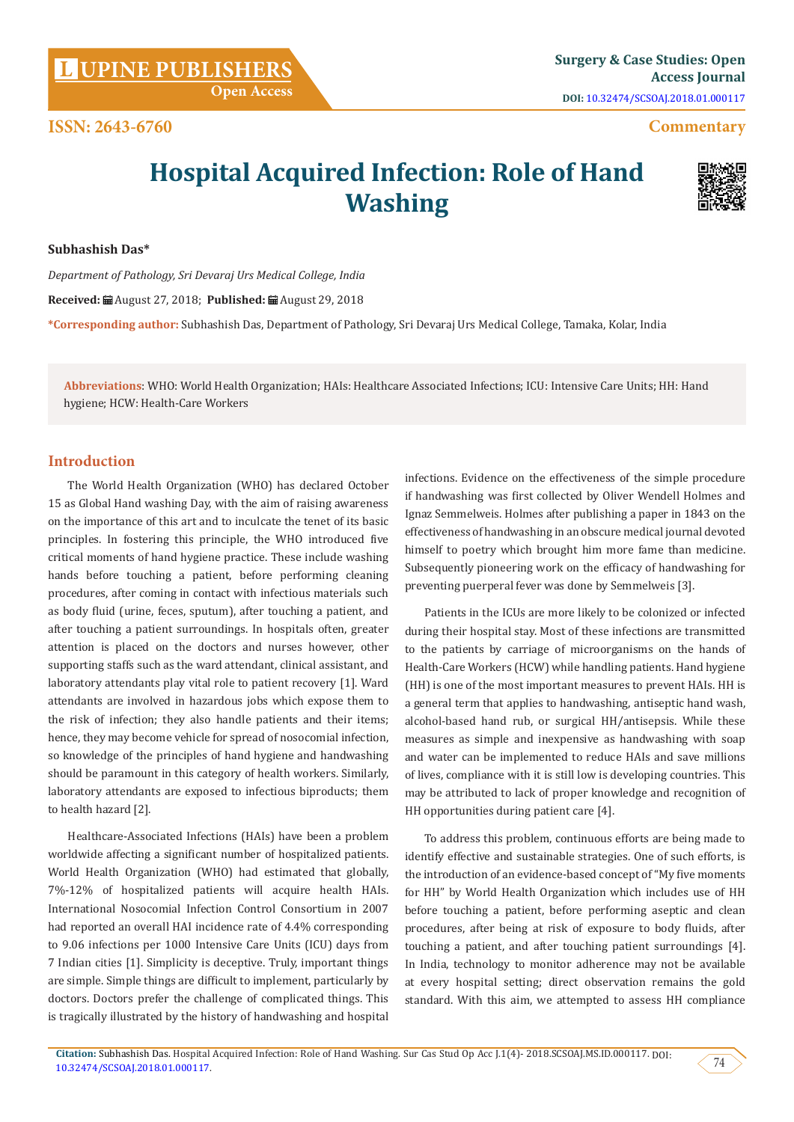**Citation:** Subhashish Das. Hospital Acquired Infection: Role of Hand Washing. Sur Cas Stud Op Acc J.1(4)- 2018.SCSOAJ.MS.ID.000117. DOI:

[10.32474/SCSOAJ.2018.01.000117](http://dx.doi.org/10.32474/SCSOAJ.2018.01.000117). 74

**DOI:** [10.32474/SCSOAJ.2018.01.000117](http://dx.doi.org/10.32474/SCSOAJ.2018.01.000117)

## **Commentary**

# **Hospital Acquired Infection: Role of Hand Washing**

**Subhashish Das\***

**ISSN: 2643-6760**

*Department of Pathology, Sri Devaraj Urs Medical College, India*

**Received:** August 27, 2018; **Published:** August 29, 2018

**\*Corresponding author:** Subhashish Das, Department of Pathology, Sri Devaraj Urs Medical College, Tamaka, Kolar, India

**Abbreviations**: WHO: World Health Organization; HAIs: Healthcare Associated Infections; ICU: Intensive Care Units; HH: Hand hygiene; HCW: Health-Care Workers

## **Introduction**

The World Health Organization (WHO) has declared October 15 as Global Hand washing Day, with the aim of raising awareness on the importance of this art and to inculcate the tenet of its basic principles. In fostering this principle, the WHO introduced five critical moments of hand hygiene practice. These include washing hands before touching a patient, before performing cleaning procedures, after coming in contact with infectious materials such as body fluid (urine, feces, sputum), after touching a patient, and after touching a patient surroundings. In hospitals often, greater attention is placed on the doctors and nurses however, other supporting staffs such as the ward attendant, clinical assistant, and laboratory attendants play vital role to patient recovery [1]. Ward attendants are involved in hazardous jobs which expose them to the risk of infection; they also handle patients and their items; hence, they may become vehicle for spread of nosocomial infection, so knowledge of the principles of hand hygiene and handwashing should be paramount in this category of health workers. Similarly, laboratory attendants are exposed to infectious biproducts; them to health hazard [2].

Healthcare-Associated Infections (HAIs) have been a problem worldwide affecting a significant number of hospitalized patients. World Health Organization (WHO) had estimated that globally, 7%-12% of hospitalized patients will acquire health HAIs. International Nosocomial Infection Control Consortium in 2007 had reported an overall HAI incidence rate of 4.4% corresponding to 9.06 infections per 1000 Intensive Care Units (ICU) days from 7 Indian cities [1]. Simplicity is deceptive. Truly, important things are simple. Simple things are difficult to implement, particularly by doctors. Doctors prefer the challenge of complicated things. This is tragically illustrated by the history of handwashing and hospital

infections. Evidence on the effectiveness of the simple procedure if handwashing was first collected by Oliver Wendell Holmes and Ignaz Semmelweis. Holmes after publishing a paper in 1843 on the effectiveness of handwashing in an obscure medical journal devoted himself to poetry which brought him more fame than medicine. Subsequently pioneering work on the efficacy of handwashing for preventing puerperal fever was done by Semmelweis [3].

Patients in the ICUs are more likely to be colonized or infected during their hospital stay. Most of these infections are transmitted to the patients by carriage of microorganisms on the hands of Health-Care Workers (HCW) while handling patients. Hand hygiene (HH) is one of the most important measures to prevent HAIs. HH is a general term that applies to handwashing, antiseptic hand wash, alcohol-based hand rub, or surgical HH/antisepsis. While these measures as simple and inexpensive as handwashing with soap and water can be implemented to reduce HAIs and save millions of lives, compliance with it is still low is developing countries. This may be attributed to lack of proper knowledge and recognition of HH opportunities during patient care [4].

To address this problem, continuous efforts are being made to identify effective and sustainable strategies. One of such efforts, is the introduction of an evidence-based concept of "My five moments for HH" by World Health Organization which includes use of HH before touching a patient, before performing aseptic and clean procedures, after being at risk of exposure to body fluids, after touching a patient, and after touching patient surroundings [4]. In India, technology to monitor adherence may not be available at every hospital setting; direct observation remains the gold standard. With this aim, we attempted to assess HH compliance

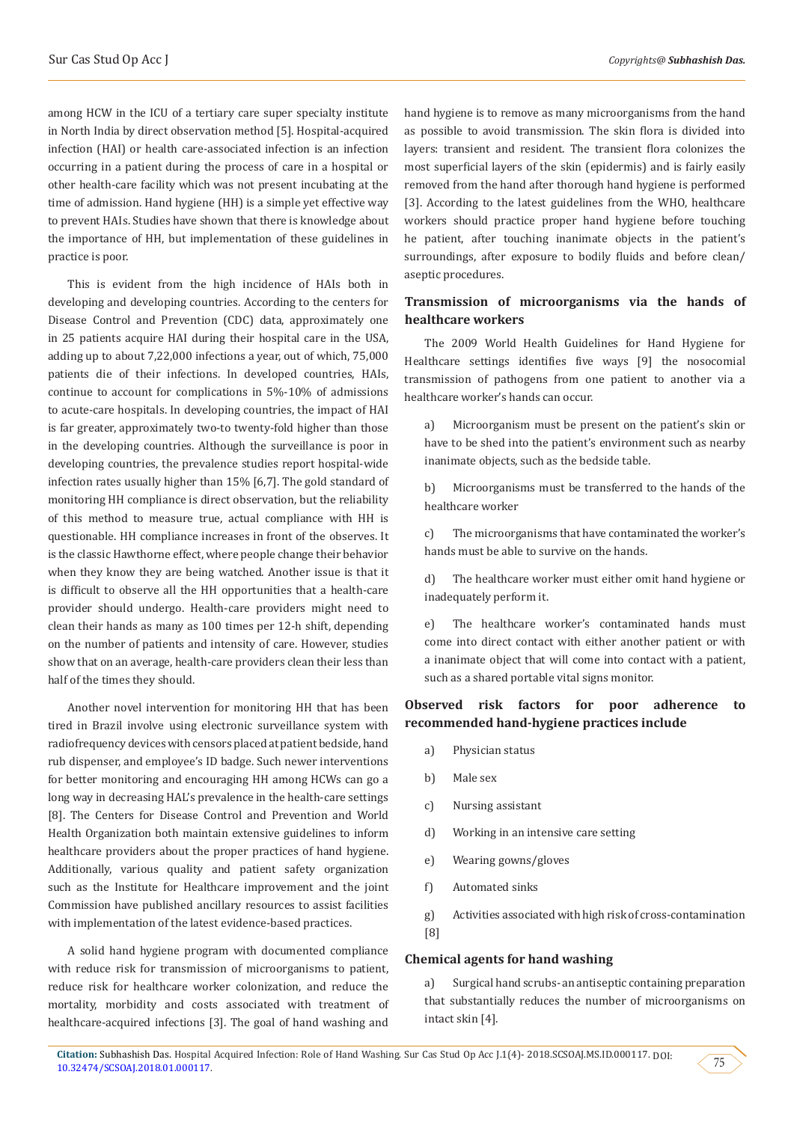among HCW in the ICU of a tertiary care super specialty institute in North India by direct observation method [5]. Hospital-acquired infection (HAI) or health care-associated infection is an infection occurring in a patient during the process of care in a hospital or other health-care facility which was not present incubating at the time of admission. Hand hygiene (HH) is a simple yet effective way to prevent HAIs. Studies have shown that there is knowledge about the importance of HH, but implementation of these guidelines in practice is poor.

This is evident from the high incidence of HAIs both in developing and developing countries. According to the centers for Disease Control and Prevention (CDC) data, approximately one in 25 patients acquire HAI during their hospital care in the USA, adding up to about 7,22,000 infections a year, out of which, 75,000 patients die of their infections. In developed countries, HAIs, continue to account for complications in 5%-10% of admissions to acute-care hospitals. In developing countries, the impact of HAI is far greater, approximately two-to twenty-fold higher than those in the developing countries. Although the surveillance is poor in developing countries, the prevalence studies report hospital-wide infection rates usually higher than 15% [6,7]. The gold standard of monitoring HH compliance is direct observation, but the reliability of this method to measure true, actual compliance with HH is questionable. HH compliance increases in front of the observes. It is the classic Hawthorne effect, where people change their behavior when they know they are being watched. Another issue is that it is difficult to observe all the HH opportunities that a health-care provider should undergo. Health-care providers might need to clean their hands as many as 100 times per 12-h shift, depending on the number of patients and intensity of care. However, studies show that on an average, health-care providers clean their less than half of the times they should.

Another novel intervention for monitoring HH that has been tired in Brazil involve using electronic surveillance system with radiofrequency devices with censors placed at patient bedside, hand rub dispenser, and employee's ID badge. Such newer interventions for better monitoring and encouraging HH among HCWs can go a long way in decreasing HAL's prevalence in the health-care settings [8]. The Centers for Disease Control and Prevention and World Health Organization both maintain extensive guidelines to inform healthcare providers about the proper practices of hand hygiene. Additionally, various quality and patient safety organization such as the Institute for Healthcare improvement and the joint Commission have published ancillary resources to assist facilities with implementation of the latest evidence-based practices.

A solid hand hygiene program with documented compliance with reduce risk for transmission of microorganisms to patient, reduce risk for healthcare worker colonization, and reduce the mortality, morbidity and costs associated with treatment of healthcare-acquired infections [3]. The goal of hand washing and hand hygiene is to remove as many microorganisms from the hand as possible to avoid transmission. The skin flora is divided into layers: transient and resident. The transient flora colonizes the most superficial layers of the skin (epidermis) and is fairly easily removed from the hand after thorough hand hygiene is performed [3]. According to the latest guidelines from the WHO, healthcare workers should practice proper hand hygiene before touching he patient, after touching inanimate objects in the patient's surroundings, after exposure to bodily fluids and before clean/ aseptic procedures.

## **Transmission of microorganisms via the hands of healthcare workers**

The 2009 World Health Guidelines for Hand Hygiene for Healthcare settings identifies five ways [9] the nosocomial transmission of pathogens from one patient to another via a healthcare worker's hands can occur.

a) Microorganism must be present on the patient's skin or have to be shed into the patient's environment such as nearby inanimate objects, such as the bedside table.

b) Microorganisms must be transferred to the hands of the healthcare worker

c) The microorganisms that have contaminated the worker's hands must be able to survive on the hands.

d) The healthcare worker must either omit hand hygiene or inadequately perform it.

e) The healthcare worker's contaminated hands must come into direct contact with either another patient or with a inanimate object that will come into contact with a patient, such as a shared portable vital signs monitor.

# **Observed risk factors for poor adherence to recommended hand-hygiene practices include**

- a) Physician status
- b) Male sex
- c) Nursing assistant
- d) Working in an intensive care setting
- e) Wearing gowns/gloves
- f) Automated sinks

g) Activities associated with high risk of cross-contamination [8]

#### **Chemical agents for hand washing**

a) Surgical hand scrubs- an antiseptic containing preparation that substantially reduces the number of microorganisms on intact skin [4].

75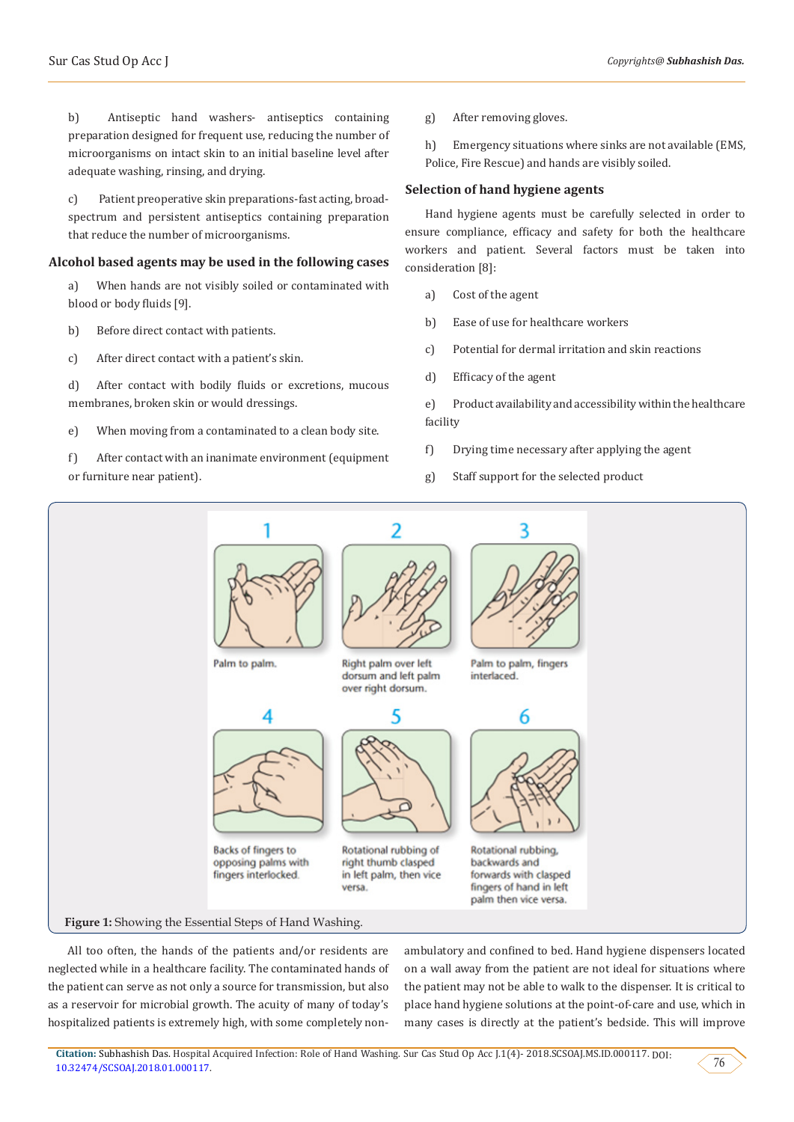b) Antiseptic hand washers- antiseptics containing preparation designed for frequent use, reducing the number of microorganisms on intact skin to an initial baseline level after adequate washing, rinsing, and drying.

c) Patient preoperative skin preparations-fast acting, broadspectrum and persistent antiseptics containing preparation that reduce the number of microorganisms.

#### **Alcohol based agents may be used in the following cases**

a) When hands are not visibly soiled or contaminated with blood or body fluids [9].

- b) Before direct contact with patients.
- c) After direct contact with a patient's skin.

d) After contact with bodily fluids or excretions, mucous membranes, broken skin or would dressings.

e) When moving from a contaminated to a clean body site.

f) After contact with an inanimate environment (equipment or furniture near patient).

g) After removing gloves.

h) Emergency situations where sinks are not available (EMS, Police, Fire Rescue) and hands are visibly soiled.

#### **Selection of hand hygiene agents**

Hand hygiene agents must be carefully selected in order to ensure compliance, efficacy and safety for both the healthcare workers and patient. Several factors must be taken into consideration [8]:

- a) Cost of the agent
- b) Ease of use for healthcare workers
- c) Potential for dermal irritation and skin reactions
- d) Efficacy of the agent

e) Product availability and accessibility within the healthcare facility

- f) Drying time necessary after applying the agent
- g) Staff support for the selected product



All too often, the hands of the patients and/or residents are neglected while in a healthcare facility. The contaminated hands of the patient can serve as not only a source for transmission, but also as a reservoir for microbial growth. The acuity of many of today's hospitalized patients is extremely high, with some completely nonambulatory and confined to bed. Hand hygiene dispensers located on a wall away from the patient are not ideal for situations where the patient may not be able to walk to the dispenser. It is critical to place hand hygiene solutions at the point-of-care and use, which in many cases is directly at the patient's bedside. This will improve

**Citation:** Subhashish Das. Hospital Acquired Infection: Role of Hand Washing. Sur Cas Stud Op Acc J.1(4)- 2018.SCSOAJ.MS.ID.000117. DOI:  $10.32474/SCSOAJ.2018.01.000117.$  $10.32474/SCSOAJ.2018.01.000117.$  76

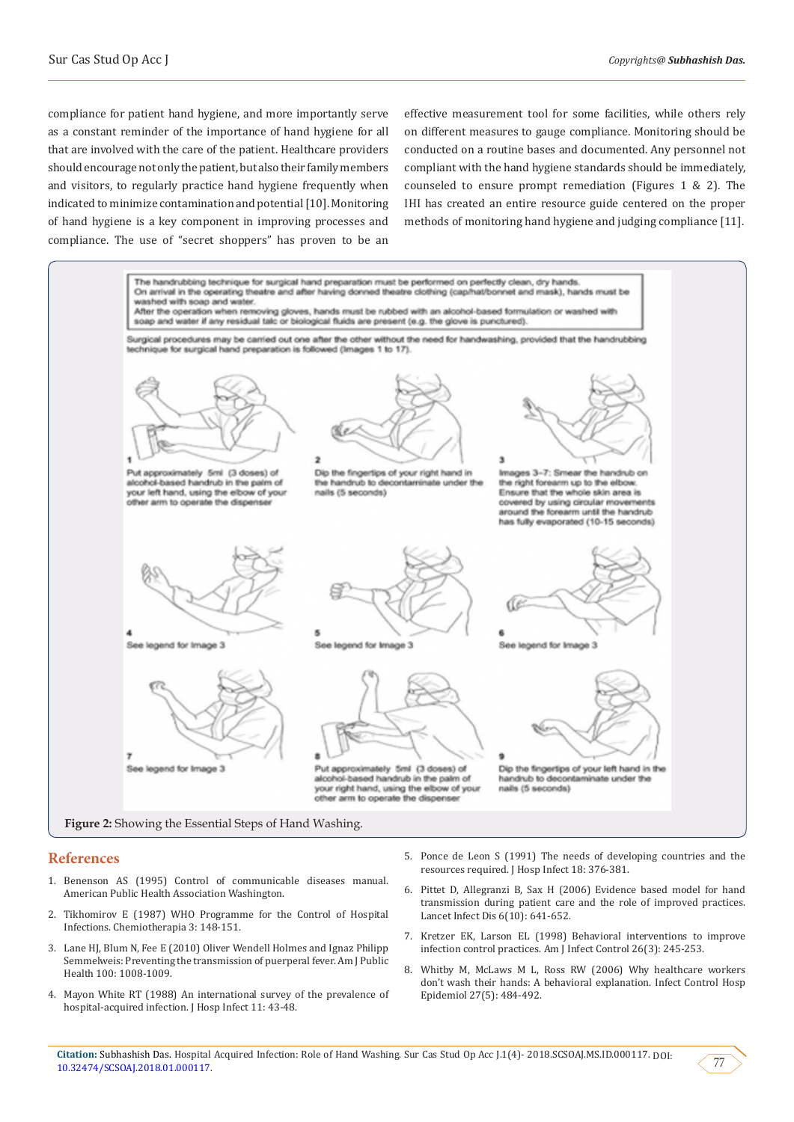compliance for patient hand hygiene, and more importantly serve as a constant reminder of the importance of hand hygiene for all that are involved with the care of the patient. Healthcare providers should encourage not only the patient, but also their family members and visitors, to regularly practice hand hygiene frequently when indicated to minimize contamination and potential [10]. Monitoring of hand hygiene is a key component in improving processes and compliance. The use of "secret shoppers" has proven to be an

effective measurement tool for some facilities, while others rely on different measures to gauge compliance. Monitoring should be conducted on a routine bases and documented. Any personnel not compliant with the hand hygiene standards should be immediately, counseled to ensure prompt remediation (Figures 1 & 2). The IHI has created an entire resource guide centered on the proper methods of monitoring hand hygiene and judging compliance [11].



#### **References**

- 1. [Benenson AS \(1995\) Control of communicable diseases manual.](https://www.apha.org/ccdm)  [American Public Health Association](https://www.apha.org/ccdm) Washington.
- 2. [Tikhomirov E \(1987\) WHO Programme for the Control of Hospital](https://www.ncbi.nlm.nih.gov/pubmed/3607925)  [Infections. Chemiotherapia 3: 148-151.](https://www.ncbi.nlm.nih.gov/pubmed/3607925)
- 3. [Lane HJ, Blum N, Fee E \(2010\) Oliver Wendell Holmes and Ignaz Philipp](https://www.ncbi.nlm.nih.gov/pmc/articles/PMC2866610/)  [Semmelweis: Preventing the transmission of puerperal fever. Am J Public](https://www.ncbi.nlm.nih.gov/pmc/articles/PMC2866610/)  [Health 100: 1008-1009.](https://www.ncbi.nlm.nih.gov/pmc/articles/PMC2866610/)
- 4. [Mayon White RT \(1988\) An international survey of the prevalence of](https://www.ncbi.nlm.nih.gov/pubmed/2896744)  [hospital-acquired infection. J Hosp Infect 11: 43-48.](https://www.ncbi.nlm.nih.gov/pubmed/2896744)
- 5. [Ponce de Leon S \(1991\) The needs of developing countries and the](https://www.ncbi.nlm.nih.gov/pubmed/1679803) [resources required. J Hosp Infect 18: 376-381.](https://www.ncbi.nlm.nih.gov/pubmed/1679803)
- 6. [Pittet D, Allegranzi B, Sax H \(2006\) Evidence based model for hand](https://www.ncbi.nlm.nih.gov/pubmed/17008173) [transmission during patient care and the role of improved practices.](https://www.ncbi.nlm.nih.gov/pubmed/17008173) [Lancet Infect Dis 6\(10\): 641-652.](https://www.ncbi.nlm.nih.gov/pubmed/17008173)
- 7. [Kretzer EK, Larson EL \(1998\) Behavioral interventions to improve](https://www.ncbi.nlm.nih.gov/pubmed/9638287) [infection control practices. Am J Infect Control 26\(3\): 245-253.](https://www.ncbi.nlm.nih.gov/pubmed/9638287)
- 8. [Whitby M, McLaws M L, Ross RW \(2006\) Why healthcare workers](https://www.ncbi.nlm.nih.gov/pubmed/16671030) [don't wash their hands: A behavioral explanation. Infect Control Hosp](https://www.ncbi.nlm.nih.gov/pubmed/16671030) [Epidemiol 27\(5\): 484-492.](https://www.ncbi.nlm.nih.gov/pubmed/16671030)

77